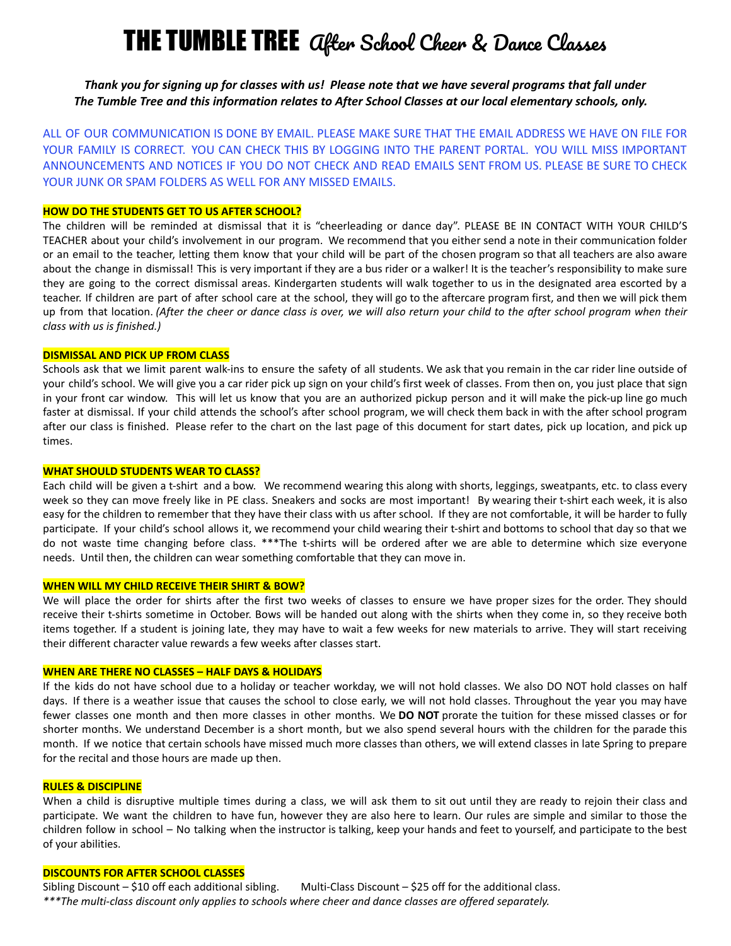# **THE TUMBLE TREE** *after School Cheer & Dance Classes*

Thank you for signing up for classes with us! Please note that we have several programs that fall under The Tumble Tree and this information relates to After School Classes at our local elementary schools, only.

ALL OF OUR COMMUNICATION IS DONE BY EMAIL. PLEASE MAKE SURE THAT THE EMAIL ADDRESS WE HAVE ON FILE FOR YOUR FAMILY IS CORRECT. YOU CAN CHECK THIS BY LOGGING INTO THE PARENT PORTAL. YOU WILL MISS IMPORTANT ANNOUNCEMENTS AND NOTICES IF YOU DO NOT CHECK AND READ EMAILS SENT FROM US. PLEASE BE SURE TO CHECK YOUR JUNK OR SPAM FOLDERS AS WELL FOR ANY MISSED EMAILS.

# **HOW DO THE STUDENTS GET TO US AFTER SCHOOL?**

The children will be reminded at dismissal that it is "cheerleading or dance day". PLEASE BE IN CONTACT WITH YOUR CHILD'S TEACHER about your child's involvement in our program. We recommend that you either send a note in their communication folder or an email to the teacher, letting them know that your child will be part of the chosen program so that all teachers are also aware about the change in dismissal! This is very important if they are a bus rider or a walker! It is the teacher's responsibility to make sure they are going to the correct dismissal areas. Kindergarten students will walk together to us in the designated area escorted by a teacher. If children are part of after school care at the school, they will go to the aftercare program first, and then we will pick them up from that location. (After the cheer or dance class is over, we will also return your child to the after school program when their *class with us is finished.)*

# **DISMISSAL AND PICK UP FROM CLASS**

Schools ask that we limit parent walk-ins to ensure the safety of all students. We ask that you remain in the car rider line outside of your child's school. We will give you a car rider pick up sign on your child's first week of classes. From then on, you just place that sign in your front car window. This will let us know that you are an authorized pickup person and it will make the pick-up line go much faster at dismissal. If your child attends the school's after school program, we will check them back in with the after school program after our class is finished. Please refer to the chart on the last page of this document for start dates, pick up location, and pick up times.

# **WHAT SHOULD STUDENTS WEAR TO CLASS?**

Each child will be given a t-shirt and a bow. We recommend wearing this along with shorts, leggings, sweatpants, etc. to class every week so they can move freely like in PE class. Sneakers and socks are most important! By wearing their t-shirt each week, it is also easy for the children to remember that they have their class with us after school. If they are not comfortable, it will be harder to fully participate. If your child's school allows it, we recommend your child wearing their t-shirt and bottoms to school that day so that we do not waste time changing before class. \*\*\*The t-shirts will be ordered after we are able to determine which size everyone needs. Until then, the children can wear something comfortable that they can move in.

# **WHEN WILL MY CHILD RECEIVE THEIR SHIRT & BOW?**

We will place the order for shirts after the first two weeks of classes to ensure we have proper sizes for the order. They should receive their t-shirts sometime in October. Bows will be handed out along with the shirts when they come in, so they receive both items together. If a student is joining late, they may have to wait a few weeks for new materials to arrive. They will start receiving their different character value rewards a few weeks after classes start.

# **WHEN ARE THERE NO CLASSES – HALF DAYS & HOLIDAYS**

If the kids do not have school due to a holiday or teacher workday, we will not hold classes. We also DO NOT hold classes on half days. If there is a weather issue that causes the school to close early, we will not hold classes. Throughout the year you may have fewer classes one month and then more classes in other months. We **DO NOT** prorate the tuition for these missed classes or for shorter months. We understand December is a short month, but we also spend several hours with the children for the parade this month. If we notice that certain schools have missed much more classes than others, we will extend classes in late Spring to prepare for the recital and those hours are made up then.

#### **RULES & DISCIPLINE**

When a child is disruptive multiple times during a class, we will ask them to sit out until they are ready to rejoin their class and participate. We want the children to have fun, however they are also here to learn. Our rules are simple and similar to those the children follow in school – No talking when the instructor is talking, keep your hands and feet to yourself, and participate to the best of your abilities.

# **DISCOUNTS FOR AFTER SCHOOL CLASSES**

Sibling Discount – \$10 off each additional sibling. Multi-Class Discount – \$25 off for the additional class. *\*\*\*The multi-class discount only applies to schools where cheer and dance classes are offered separately.*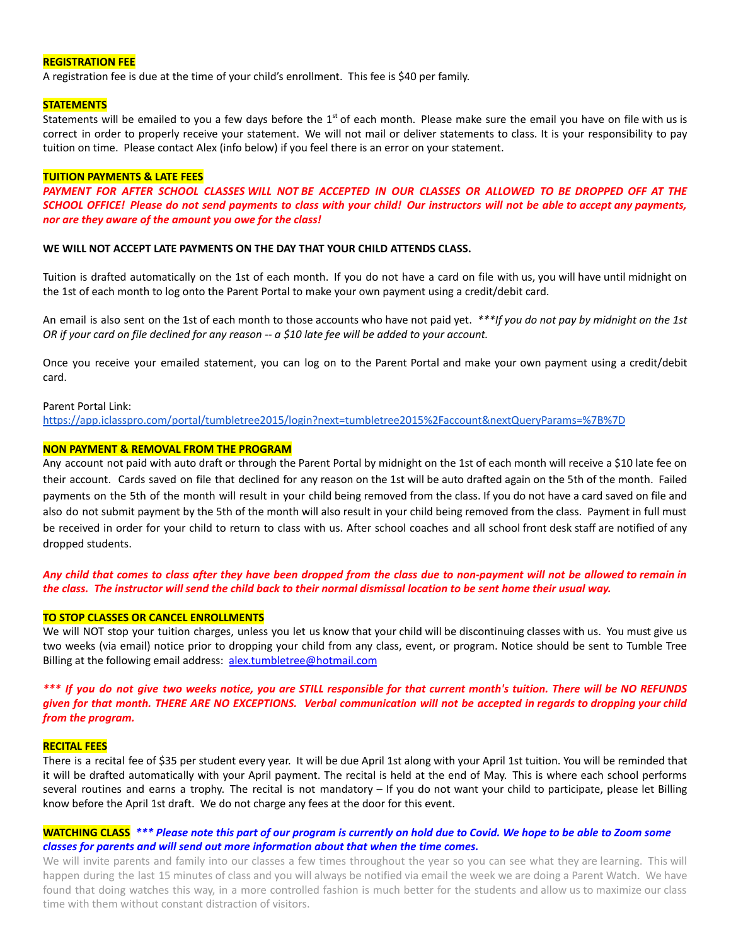# **REGISTRATION FEE**

A registration fee is due at the time of your child's enrollment. This fee is \$40 per family.

#### **STATEMENTS**

Statements will be emailed to you a few days before the 1<sup>st</sup> of each month. Please make sure the email you have on file with us is correct in order to properly receive your statement. We will not mail or deliver statements to class. It is your responsibility to pay tuition on time. Please contact Alex (info below) if you feel there is an error on your statement.

#### **TUITION PAYMENTS & LATE FEES**

PAYMENT FOR AFTER SCHOOL CLASSES WILL NOT BE ACCEPTED IN OUR CLASSES OR ALLOWED TO BE DROPPED OFF AT THE SCHOOL OFFICE! Please do not send payments to class with your child! Our instructors will not be able to accept any payments, *nor are they aware of the amount you owe for the class!*

#### **WE WILL NOT ACCEPT LATE PAYMENTS ON THE DAY THAT YOUR CHILD ATTENDS CLASS.**

Tuition is drafted automatically on the 1st of each month. If you do not have a card on file with us, you will have until midnight on the 1st of each month to log onto the Parent Portal to make your own payment using a credit/debit card.

An email is also sent on the 1st of each month to those accounts who have not paid yet. *\*\*\*If you do not pay by midnight on the 1st* OR if your card on file declined for any reason -- a \$10 late fee will be added to your account.

Once you receive your emailed statement, you can log on to the Parent Portal and make your own payment using a credit/debit card.

#### Parent Portal Link:

<https://app.iclasspro.com/portal/tumbletree2015/login?next=tumbletree2015%2Faccount&nextQueryParams=%7B%7D>

# **NON PAYMENT & REMOVAL FROM THE PROGRAM**

Any account not paid with auto draft or through the Parent Portal by midnight on the 1st of each month will receive a \$10 late fee on their account. Cards saved on file that declined for any reason on the 1st will be auto drafted again on the 5th of the month. Failed payments on the 5th of the month will result in your child being removed from the class. If you do not have a card saved on file and also do not submit payment by the 5th of the month will also result in your child being removed from the class. Payment in full must be received in order for your child to return to class with us. After school coaches and all school front desk staff are notified of any dropped students.

Any child that comes to class after they have been dropped from the class due to non-payment will not be allowed to remain in the class. The instructor will send the child back to their normal dismissal location to be sent home their usual way.

# **TO STOP CLASSES OR CANCEL ENROLLMENTS**

We will NOT stop your tuition charges, unless you let us know that your child will be discontinuing classes with us. You must give us two weeks (via email) notice prior to dropping your child from any class, event, or program. Notice should be sent to Tumble Tree Billing at the following email address: [alex.tumbletree@hotmail.com](mailto:alex.tumbletree@hotmail.com)

\*\*\* If you do not give two weeks notice, you are STILL responsible for that current month's tuition. There will be NO REFUNDS given for that month. THERE ARE NO EXCEPTIONS. Verbal communication will not be accepted in regards to dropping your child *from the program.*

#### **RECITAL FEES**

There is a recital fee of \$35 per student every year. It will be due April 1st along with your April 1st tuition. You will be reminded that it will be drafted automatically with your April payment. The recital is held at the end of May. This is where each school performs several routines and earns a trophy. The recital is not mandatory – If you do not want your child to participate, please let Billing know before the April 1st draft. We do not charge any fees at the door for this event.

# **WATCHING CLASS** \*\*\* Please note this part of our program is currently on hold due to Covid. We hope to be able to Zoom some *classes for parents and will send out more information about that when the time comes.*

We will invite parents and family into our classes a few times throughout the year so you can see what they are learning. This will happen during the last 15 minutes of class and you will always be notified via email the week we are doing a Parent Watch. We have found that doing watches this way, in a more controlled fashion is much better for the students and allow us to maximize our class time with them without constant distraction of visitors.